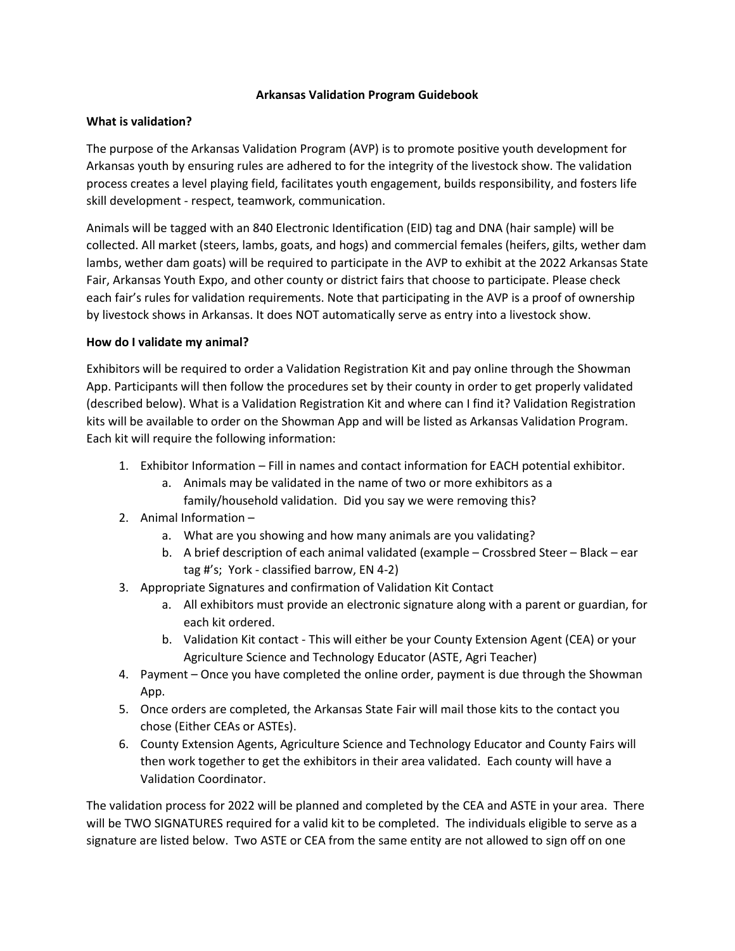## **Arkansas Validation Program Guidebook**

## **What is validation?**

The purpose of the Arkansas Validation Program (AVP) is to promote positive youth development for Arkansas youth by ensuring rules are adhered to for the integrity of the livestock show. The validation process creates a level playing field, facilitates youth engagement, builds responsibility, and fosters life skill development - respect, teamwork, communication.

Animals will be tagged with an 840 Electronic Identification (EID) tag and DNA (hair sample) will be collected. All market (steers, lambs, goats, and hogs) and commercial females (heifers, gilts, wether dam lambs, wether dam goats) will be required to participate in the AVP to exhibit at the 2022 Arkansas State Fair, Arkansas Youth Expo, and other county or district fairs that choose to participate. Please check each fair's rules for validation requirements. Note that participating in the AVP is a proof of ownership by livestock shows in Arkansas. It does NOT automatically serve as entry into a livestock show.

## **How do I validate my animal?**

Exhibitors will be required to order a Validation Registration Kit and pay online through the Showman App. Participants will then follow the procedures set by their county in order to get properly validated (described below). What is a Validation Registration Kit and where can I find it? Validation Registration kits will be available to order on the Showman App and will be listed as Arkansas Validation Program. Each kit will require the following information:

- 1. Exhibitor Information Fill in names and contact information for EACH potential exhibitor.
	- a. Animals may be validated in the name of two or more exhibitors as a family/household validation. Did you say we were removing this?
- 2. Animal Information
	- a. What are you showing and how many animals are you validating?
	- b. A brief description of each animal validated (example Crossbred Steer Black ear tag #'s; York - classified barrow, EN 4-2)
- 3. Appropriate Signatures and confirmation of Validation Kit Contact
	- a. All exhibitors must provide an electronic signature along with a parent or guardian, for each kit ordered.
	- b. Validation Kit contact This will either be your County Extension Agent (CEA) or your Agriculture Science and Technology Educator (ASTE, Agri Teacher)
- 4. Payment Once you have completed the online order, payment is due through the Showman App.
- 5. Once orders are completed, the Arkansas State Fair will mail those kits to the contact you chose (Either CEAs or ASTEs).
- 6. County Extension Agents, Agriculture Science and Technology Educator and County Fairs will then work together to get the exhibitors in their area validated. Each county will have a Validation Coordinator.

The validation process for 2022 will be planned and completed by the CEA and ASTE in your area. There will be TWO SIGNATURES required for a valid kit to be completed. The individuals eligible to serve as a signature are listed below. Two ASTE or CEA from the same entity are not allowed to sign off on one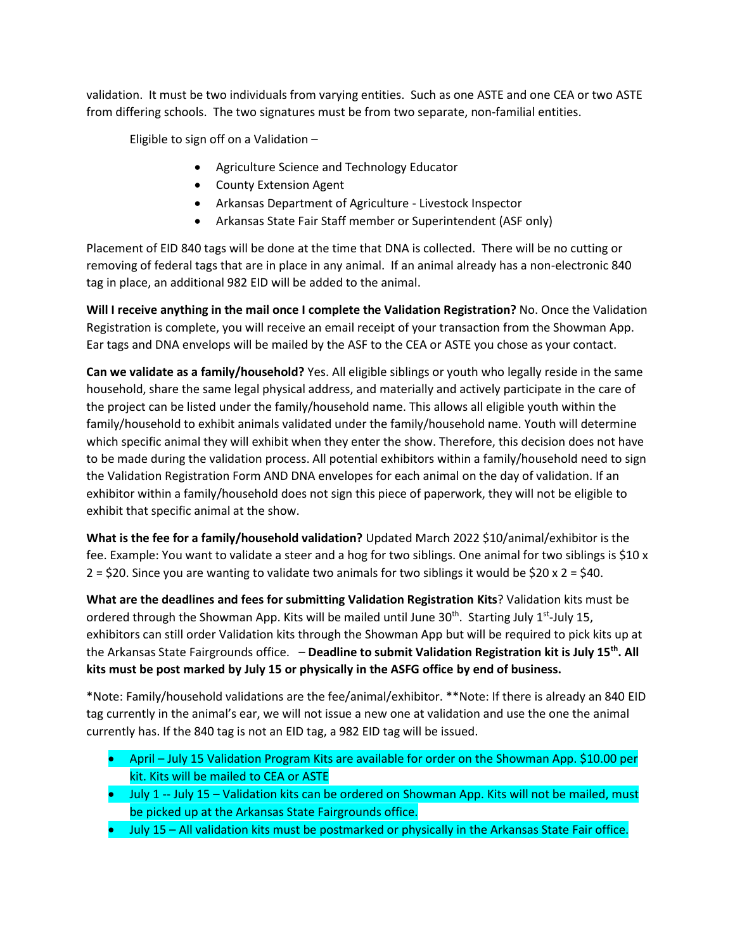validation. It must be two individuals from varying entities. Such as one ASTE and one CEA or two ASTE from differing schools. The two signatures must be from two separate, non-familial entities.

Eligible to sign off on a Validation –

- Agriculture Science and Technology Educator
- County Extension Agent
- Arkansas Department of Agriculture Livestock Inspector
- Arkansas State Fair Staff member or Superintendent (ASF only)

Placement of EID 840 tags will be done at the time that DNA is collected. There will be no cutting or removing of federal tags that are in place in any animal. If an animal already has a non-electronic 840 tag in place, an additional 982 EID will be added to the animal.

**Will I receive anything in the mail once I complete the Validation Registration?** No. Once the Validation Registration is complete, you will receive an email receipt of your transaction from the Showman App. Ear tags and DNA envelops will be mailed by the ASF to the CEA or ASTE you chose as your contact.

**Can we validate as a family/household?** Yes. All eligible siblings or youth who legally reside in the same household, share the same legal physical address, and materially and actively participate in the care of the project can be listed under the family/household name. This allows all eligible youth within the family/household to exhibit animals validated under the family/household name. Youth will determine which specific animal they will exhibit when they enter the show. Therefore, this decision does not have to be made during the validation process. All potential exhibitors within a family/household need to sign the Validation Registration Form AND DNA envelopes for each animal on the day of validation. If an exhibitor within a family/household does not sign this piece of paperwork, they will not be eligible to exhibit that specific animal at the show.

**What is the fee for a family/household validation?** Updated March 2022 \$10/animal/exhibitor is the fee. Example: You want to validate a steer and a hog for two siblings. One animal for two siblings is \$10 x  $2 = 520$ . Since you are wanting to validate two animals for two siblings it would be  $$20 \times 2 = $40$ .

**What are the deadlines and fees for submitting Validation Registration Kits**? Validation kits must be ordered through the Showman App. Kits will be mailed until June 30<sup>th</sup>. Starting July 1<sup>st</sup>-July 15, exhibitors can still order Validation kits through the Showman App but will be required to pick kits up at the Arkansas State Fairgrounds office. – **Deadline to submit Validation Registration kit is July 15th. All kits must be post marked by July 15 or physically in the ASFG office by end of business.**

\*Note: Family/household validations are the fee/animal/exhibitor. \*\*Note: If there is already an 840 EID tag currently in the animal's ear, we will not issue a new one at validation and use the one the animal currently has. If the 840 tag is not an EID tag, a 982 EID tag will be issued.

- April July 15 Validation Program Kits are available for order on the Showman App. \$10.00 per kit. Kits will be mailed to CEA or ASTE
- July 1 -- July 15 Validation kits can be ordered on Showman App. Kits will not be mailed, must be picked up at the Arkansas State Fairgrounds office.
- July 15 All validation kits must be postmarked or physically in the Arkansas State Fair office.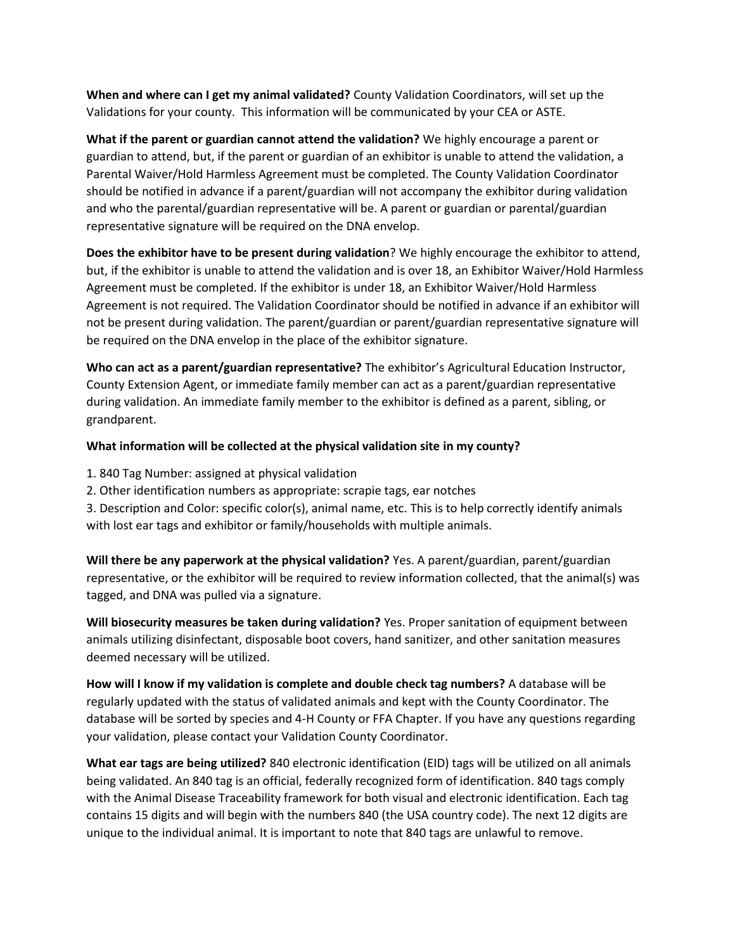**When and where can I get my animal validated?** County Validation Coordinators, will set up the Validations for your county. This information will be communicated by your CEA or ASTE.

**What if the parent or guardian cannot attend the validation?** We highly encourage a parent or guardian to attend, but, if the parent or guardian of an exhibitor is unable to attend the validation, a Parental Waiver/Hold Harmless Agreement must be completed. The County Validation Coordinator should be notified in advance if a parent/guardian will not accompany the exhibitor during validation and who the parental/guardian representative will be. A parent or guardian or parental/guardian representative signature will be required on the DNA envelop.

**Does the exhibitor have to be present during validation**? We highly encourage the exhibitor to attend, but, if the exhibitor is unable to attend the validation and is over 18, an Exhibitor Waiver/Hold Harmless Agreement must be completed. If the exhibitor is under 18, an Exhibitor Waiver/Hold Harmless Agreement is not required. The Validation Coordinator should be notified in advance if an exhibitor will not be present during validation. The parent/guardian or parent/guardian representative signature will be required on the DNA envelop in the place of the exhibitor signature.

**Who can act as a parent/guardian representative?** The exhibitor's Agricultural Education Instructor, County Extension Agent, or immediate family member can act as a parent/guardian representative during validation. An immediate family member to the exhibitor is defined as a parent, sibling, or grandparent.

## **What information will be collected at the physical validation site in my county?**

- 1. 840 Tag Number: assigned at physical validation
- 2. Other identification numbers as appropriate: scrapie tags, ear notches
- 3. Description and Color: specific color(s), animal name, etc. This is to help correctly identify animals with lost ear tags and exhibitor or family/households with multiple animals.

**Will there be any paperwork at the physical validation?** Yes. A parent/guardian, parent/guardian representative, or the exhibitor will be required to review information collected, that the animal(s) was tagged, and DNA was pulled via a signature.

**Will biosecurity measures be taken during validation?** Yes. Proper sanitation of equipment between animals utilizing disinfectant, disposable boot covers, hand sanitizer, and other sanitation measures deemed necessary will be utilized.

**How will I know if my validation is complete and double check tag numbers?** A database will be regularly updated with the status of validated animals and kept with the County Coordinator. The database will be sorted by species and 4-H County or FFA Chapter. If you have any questions regarding your validation, please contact your Validation County Coordinator.

**What ear tags are being utilized?** 840 electronic identification (EID) tags will be utilized on all animals being validated. An 840 tag is an official, federally recognized form of identification. 840 tags comply with the Animal Disease Traceability framework for both visual and electronic identification. Each tag contains 15 digits and will begin with the numbers 840 (the USA country code). The next 12 digits are unique to the individual animal. It is important to note that 840 tags are unlawful to remove.